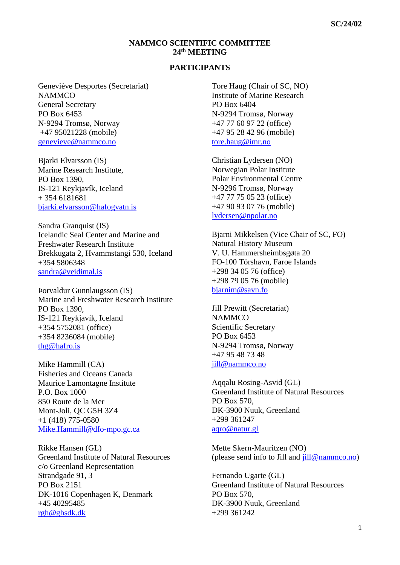## **NAMMCO SCIENTIFIC COMMITTEE 24 th MEETING**

## **PARTICIPANTS**

Geneviève Desportes (Secretariat) **NAMMCO** General Secretary PO Box 6453 N-9294 Tromsø, Norway +47 95021228 (mobile) [genevieve@nammco.no](mailto:genevieve@nammco.no)

Bjarki Elvarsson (IS) Marine Research Institute, PO Box 1390, IS-121 Reykjavík, Iceland  $+ 354 6181681$ [bjarki.elvarsson@hafogvatn.is](mailto:bjarki.elvarsson@hafogvatn.is)

Sandra Granquist (IS) Icelandic Seal Center and Marine and Freshwater Research Institute Brekkugata 2, Hvammstangi 530, Iceland +354 5806348 [sandra@veidimal.is](mailto:sandra@veidimal.is)

Þorvaldur Gunnlaugsson (IS) Marine and Freshwater Research Institute PO Box 1390, IS-121 Reykjavík, Iceland +354 5752081 (office) +354 8236084 (mobile) [thg@hafro.is](mailto:thg@hafro.is)

Mike Hammill (CA) Fisheries and Oceans Canada Maurice Lamontagne Institute P.O. Box 1000 850 Route de la Mer Mont-Joli, QC G5H 3Z4 +1 (418) 775-0580 [Mike.Hammill@dfo-mpo.gc.ca](mailto:Mike.Hammill@dfo-mpo.gc.ca)

Rikke Hansen (GL) Greenland Institute of Natural Resources c/o Greenland Representation Strandgade 91, 3 PO Box 2151 DK-1016 Copenhagen K, Denmark +45 40295485 [rgh@ghsdk.dk](mailto:rgh@ghsdk.dk)

Tore Haug (Chair of SC, NO) Institute of Marine Research PO Box 6404 N-9294 Tromsø, Norway +47 77 60 97 22 (office) +47 95 28 42 96 (mobile) [tore.haug@imr.no](mailto:tore.haug@imr.no)

Christian Lydersen (NO) Norwegian Polar Institute Polar Environmental Centre N-9296 Tromsø, Norway +47 77 75 05 23 (office) +47 90 93 07 76 (mobile) [lydersen@npolar.no](mailto:lydersen@npolar.no)

Bjarni Mikkelsen (Vice Chair of SC, FO) Natural History Museum V. U. Hammersheimbsgøta 20 FO-100 Tórshavn, Faroe Islands +298 34 05 76 (office) +298 79 05 76 (mobile) [bjarnim@savn.fo](mailto:bjarnim@savn.fo)

Jill Prewitt (Secretariat) NAMMCO Scientific Secretary PO Box 6453 N-9294 Tromsø, Norway +47 95 48 73 48 [jill@nammco.no](mailto:jill@nammco.no)

Aqqalu Rosing-Asvid (GL) Greenland Institute of Natural Resources PO Box 570, DK-3900 Nuuk, Greenland +299 361247 [aqro@natur.gl](mailto:aqro@natur.gl)

Mette Skern-Mauritzen (NO) (please send info to Jill and [jill@nammco.no\)](mailto:jill@nammco.no)

Fernando Ugarte (GL) Greenland Institute of Natural Resources PO Box 570, DK-3900 Nuuk, Greenland +299 361242